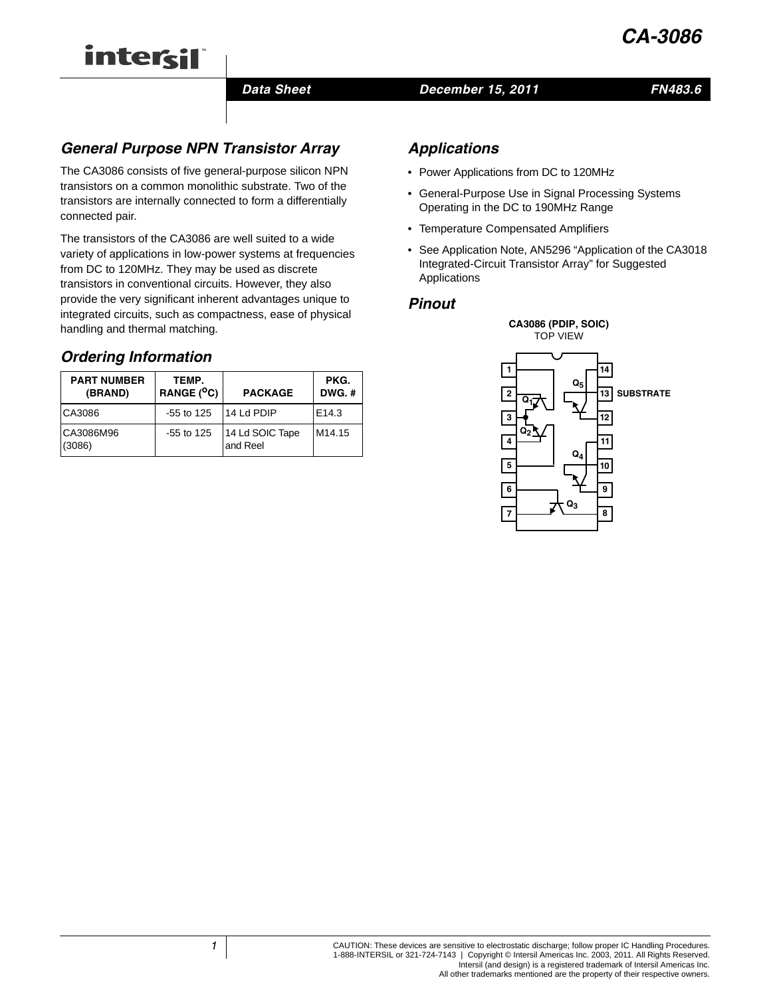

### *Data Sheet December 15, 2011*

## *FN483.6*

# *General Purpose NPN Transistor Array*

The CA3086 consists of five general-purpose silicon NPN transistors on a common monolithic substrate. Two of the transistors are internally connected to form a differentially connected pair.

The transistors of the CA3086 are well suited to a wide variety of applications in low-power systems at frequencies from DC to 120MHz. They may be used as discrete transistors in conventional circuits. However, they also provide the very significant inherent advantages unique to integrated circuits, such as compactness, ease of physical handling and thermal matching.

# *Ordering Information*

intersil

| <b>PART NUMBER</b><br>(BRAND) | TEMP.<br>RANGE (°C) | <b>PACKAGE</b>              | PKG.<br>$DWG.$ #   |
|-------------------------------|---------------------|-----------------------------|--------------------|
| CA3086                        | $-55$ to 125        | 14 Ld PDIP                  | E <sub>14.3</sub>  |
| CA3086M96<br>(3086)           | $-55$ to 125        | 14 Ld SOIC Tape<br>and Reel | M <sub>14.15</sub> |

# *Applications*

- Power Applications from DC to 120MHz
- General-Purpose Use in Signal Processing Systems Operating in the DC to 190MHz Range
- Temperature Compensated Amplifiers
- See Application Note, AN5296 "Application of the CA3018 Integrated-Circuit Transistor Array" for Suggested Applications

### *Pinout*

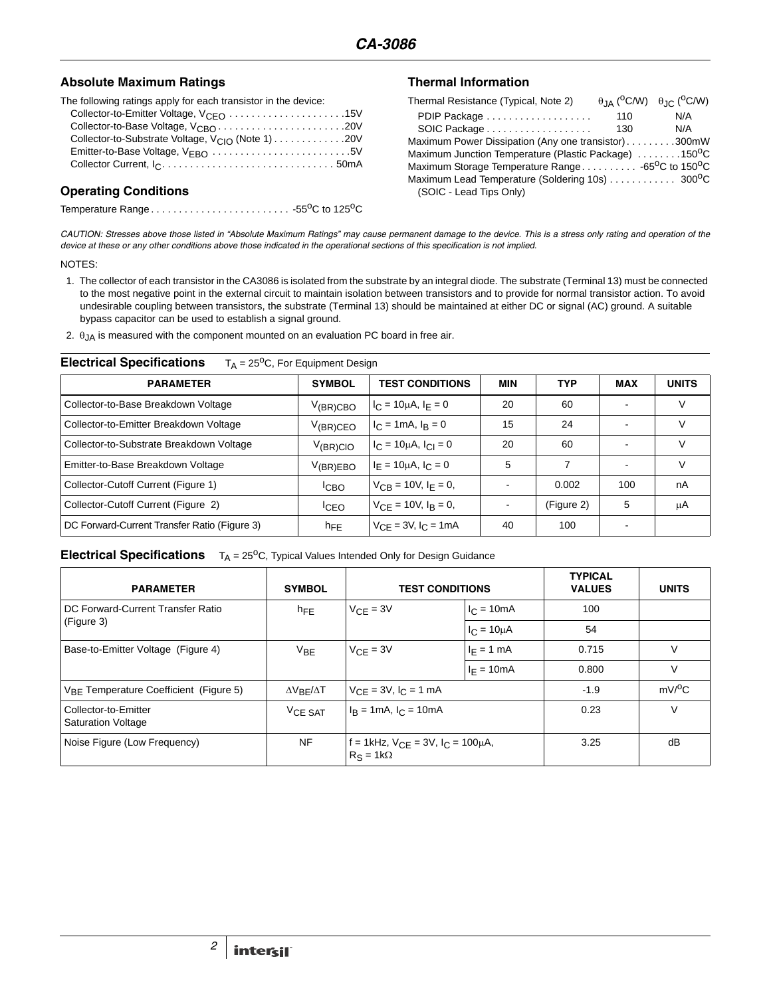### Absolute Maximum Ratings **Thermal Information**

The following ratings apply for each transistor in the device:

| Collector-to-Base Voltage, V <sub>CBO</sub> 20V                    |  |
|--------------------------------------------------------------------|--|
| Collector-to-Substrate Voltage, $V_{\text{Cl}\Omega}$ (Note 1) 20V |  |
| Emitter-to-Base Voltage, $V_{FBO}$ 5V                              |  |
|                                                                    |  |
|                                                                    |  |

## **Operating Conditions**

Temperature Range  $\ldots \ldots \ldots \ldots \ldots \ldots \ldots \ldots \ldots \cdot 55^0C$  to 125<sup>o</sup>C

| Thermal Resistance (Typical, Note 2)                                       |     | $\theta$ JA ( <sup>O</sup> C/W) $\theta$ JC ( <sup>O</sup> C/W) |
|----------------------------------------------------------------------------|-----|-----------------------------------------------------------------|
| PDIP Package                                                               | 110 | N/A                                                             |
| SOIC Package                                                               | 130 | N/A                                                             |
| Maximum Power Dissipation (Any one transistor)300mW                        |     |                                                                 |
| Maximum Junction Temperature (Plastic Package) 150°C                       |     |                                                                 |
| Maximum Storage Temperature Range -65 <sup>o</sup> C to 150 <sup>o</sup> C |     |                                                                 |
| (SOIC - Lead Tips Only)                                                    |     |                                                                 |

*CAUTION: Stresses above those listed in "Absolute Maximum Ratings" may cause permanent damage to the device. This is a stress only rating and operation of the device at these or any other conditions above those indicated in the operational sections of this specification is not implied.*

#### NOTES:

- 1. The collector of each transistor in the CA3086 is isolated from the substrate by an integral diode. The substrate (Terminal 13) must be connected to the most negative point in the external circuit to maintain isolation between transistors and to provide for normal transistor action. To avoid undesirable coupling between transistors, the substrate (Terminal 13) should be maintained at either DC or signal (AC) ground. A suitable bypass capacitor can be used to establish a signal ground.
- 2.  $\theta$ <sub>JA</sub> is measured with the component mounted on an evaluation PC board in free air.

### **Electrical Specifications** T<sub>A</sub> = 25<sup>o</sup>C, For Equipment Design

| <b>PARAMETER</b>                             | <b>SYMBOL</b>    | <b>TEST CONDITIONS</b>           | MIN | <b>TYP</b> | <b>MAX</b> | <b>UNITS</b> |
|----------------------------------------------|------------------|----------------------------------|-----|------------|------------|--------------|
| Collector-to-Base Breakdown Voltage          | $V_{(BR)CBO}$    | $I_C = 10 \mu A$ , $I_E = 0$     | 20  | 60         |            | V            |
| Collector-to-Emitter Breakdown Voltage       | $V_{(BR)CEO}$    | $I_C = 1 \text{ mA}$ , $I_R = 0$ | 15  | 24         |            | V            |
| Collector-to-Substrate Breakdown Voltage     | $V_{(BR)ClO}$    | $I_C = 10 \mu A$ , $I_{Cl} = 0$  | 20  | 60         |            | V            |
| Emitter-to-Base Breakdown Voltage            | $V_{(BR)EBO}$    | $I_F = 10 \mu A$ , $I_C = 0$     | 5   |            |            | V            |
| Collector-Cutoff Current (Figure 1)          | <sup>I</sup> CBO | $V_{CR} = 10V$ , $I_F = 0$ ,     | ٠   | 0.002      | 100        | nA           |
| Collector-Cutoff Current (Figure 2)          | <sup>I</sup> CEO | $V_{CF} = 10V$ , $I_B = 0$ ,     |     | (Figure 2) | 5          | μA           |
| DC Forward-Current Transfer Ratio (Figure 3) | $n_{FE}$         | $V_{CE} = 3V$ , $I_C = 1mA$      | 40  | 100        |            |              |

### **Electrical Specifications** T<sub>A</sub> = 25<sup>o</sup>C, Typical Values Intended Only for Design Guidance

| <b>PARAMETER</b>                                  | <b>SYMBOL</b>                | <b>TEST CONDITIONS</b>                                      |                  | <b>TYPICAL</b><br><b>VALUES</b> | <b>UNITS</b>        |
|---------------------------------------------------|------------------------------|-------------------------------------------------------------|------------------|---------------------------------|---------------------|
| DC Forward-Current Transfer Ratio                 | $h_{FE}$                     | $V_{\text{CF}} = 3V$                                        | $I_C = 10mA$     | 100                             |                     |
| (Figure 3)                                        |                              |                                                             | $I_C = 10 \mu A$ | 54                              |                     |
| Base-to-Emitter Voltage (Figure 4)                | $V_{\text{BF}}$              | $V_{\text{CF}} = 3V$                                        | $I_F = 1$ mA     | 0.715                           | V                   |
|                                                   |                              |                                                             | $I_F = 10mA$     | 0.800                           | V                   |
| $V_{BE}$ Temperature Coefficient (Figure 5)       | $\Delta V_{\rm RF}/\Delta T$ | $V_{CE} = 3V$ , $I_C = 1$ mA                                |                  | $-1.9$                          | $mV$ <sup>O</sup> C |
| Collector-to-Emitter<br><b>Saturation Voltage</b> | VCE SAT                      | $I_B = 1mA$ , $I_C = 10mA$                                  |                  | 0.23                            | $\vee$              |
| Noise Figure (Low Frequency)                      | <b>NF</b>                    | f = 1kHz, $V_{CE}$ = 3V, $I_C$ = 100µA,<br>$R_S = 1k\Omega$ |                  | 3.25                            | dB                  |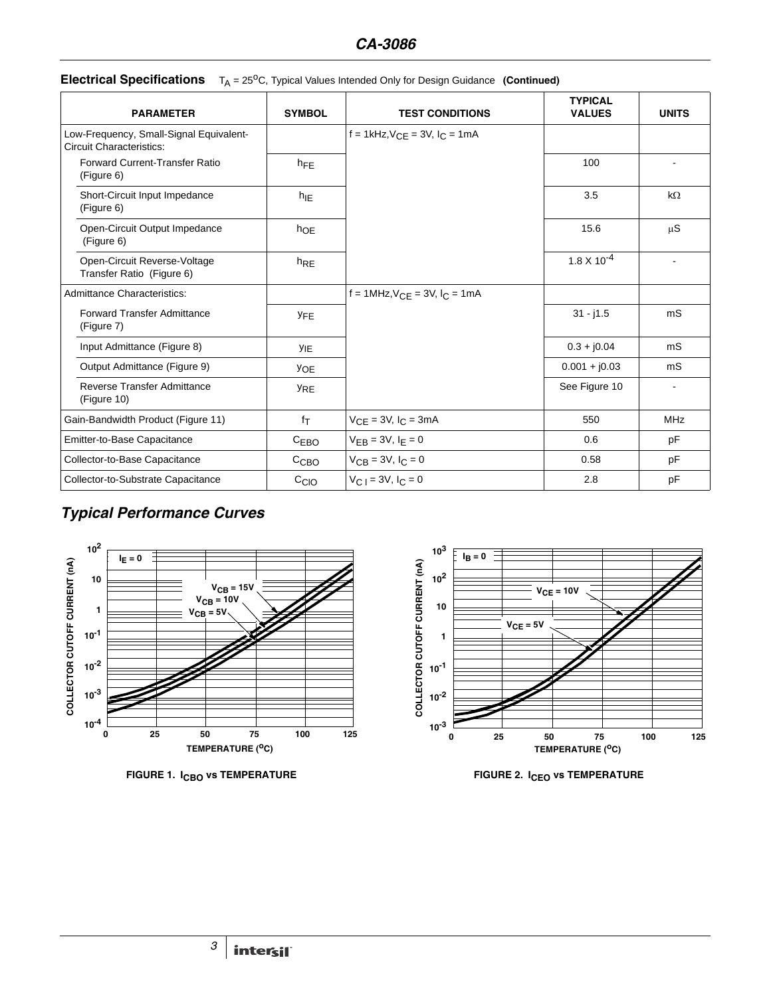| <b>PARAMETER</b>                                                           | <b>SYMBOL</b>    | <b>TEST CONDITIONS</b>                 | <b>TYPICAL</b><br><b>VALUES</b> | <b>UNITS</b>   |
|----------------------------------------------------------------------------|------------------|----------------------------------------|---------------------------------|----------------|
| Low-Frequency, Small-Signal Equivalent-<br><b>Circuit Characteristics:</b> |                  | f = 1kHz, $V_{CF}$ = 3V, $I_C$ = 1mA   |                                 |                |
| Forward Current-Transfer Ratio<br>(Figure 6)                               | $h_{FE}$         |                                        | 100                             |                |
| Short-Circuit Input Impedance<br>(Figure 6)                                | $h_{\text{IE}}$  |                                        | 3.5                             | $k\Omega$      |
| Open-Circuit Output Impedance<br>(Figure 6)                                | $h_{OE}$         |                                        | 15.6                            | $\mu S$        |
| Open-Circuit Reverse-Voltage<br>Transfer Ratio (Figure 6)                  | $h_{RE}$         |                                        | $1.8 \times 10^{-4}$            |                |
| <b>Admittance Characteristics:</b>                                         |                  | $f = 1MHz, V_{CF} = 3V, I_{C} = 1mA$   |                                 |                |
| <b>Forward Transfer Admittance</b><br>(Figure 7)                           | <b>YFE</b>       |                                        | $31 - j1.5$                     | m <sub>S</sub> |
| Input Admittance (Figure 8)                                                | <b>YIE</b>       |                                        | $0.3 + j0.04$                   | mS             |
| Output Admittance (Figure 9)                                               | <b>YOE</b>       |                                        | $0.001 + j0.03$                 | mS             |
| <b>Reverse Transfer Admittance</b><br>(Figure 10)                          | <b>YRE</b>       |                                        | See Figure 10                   | $\sim$         |
| Gain-Bandwidth Product (Figure 11)                                         | fτ               | $V_{CE} = 3V$ , $I_C = 3mA$            | 550                             | <b>MHz</b>     |
| Emitter-to-Base Capacitance                                                | C <sub>EBO</sub> | $V_{EB} = 3V, I_E = 0$                 | 0.6                             | pF             |
| Collector-to-Base Capacitance                                              | C <sub>CBO</sub> | $V_{CB} = 3V, I_C = 0$                 | 0.58                            | pF             |
| Collector-to-Substrate Capacitance                                         | C <sub>ClO</sub> | $V_{C}$ <sub>1</sub> = 3V, $I_{C}$ = 0 | 2.8                             | pF             |

# **Electrical Specifications**  $T_A = 25^{\circ}$ C, Typical Values Intended Only for Design Guidance (Continued)

# *Typical Performance Curves*





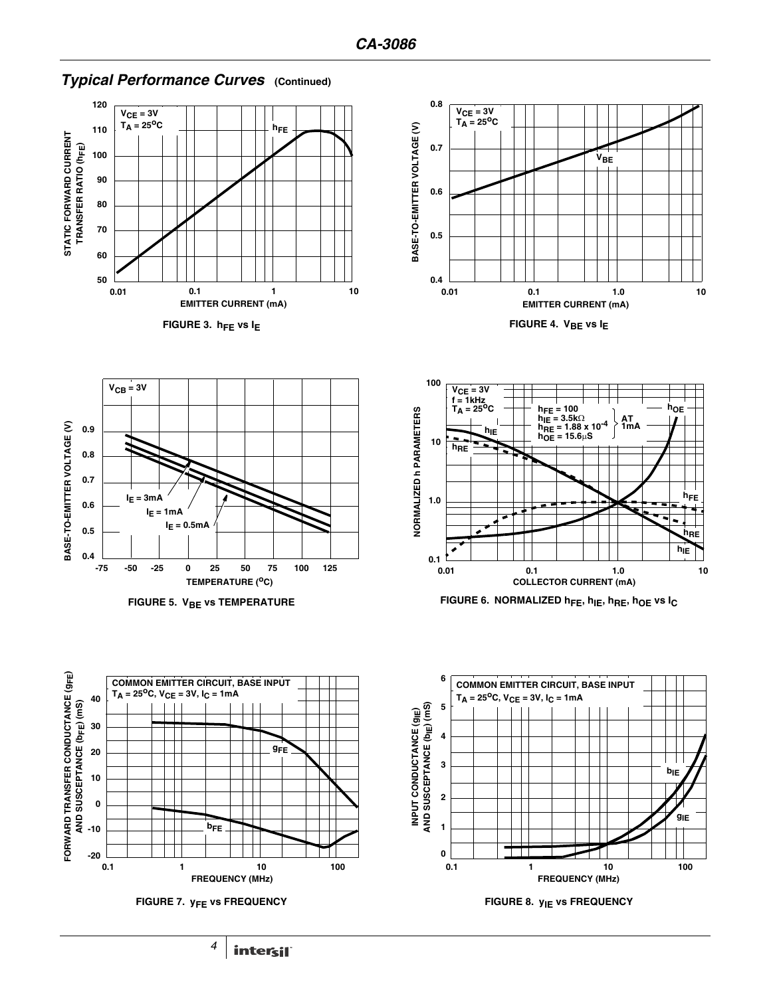

# *Typical Performance Curves* **(Continued)**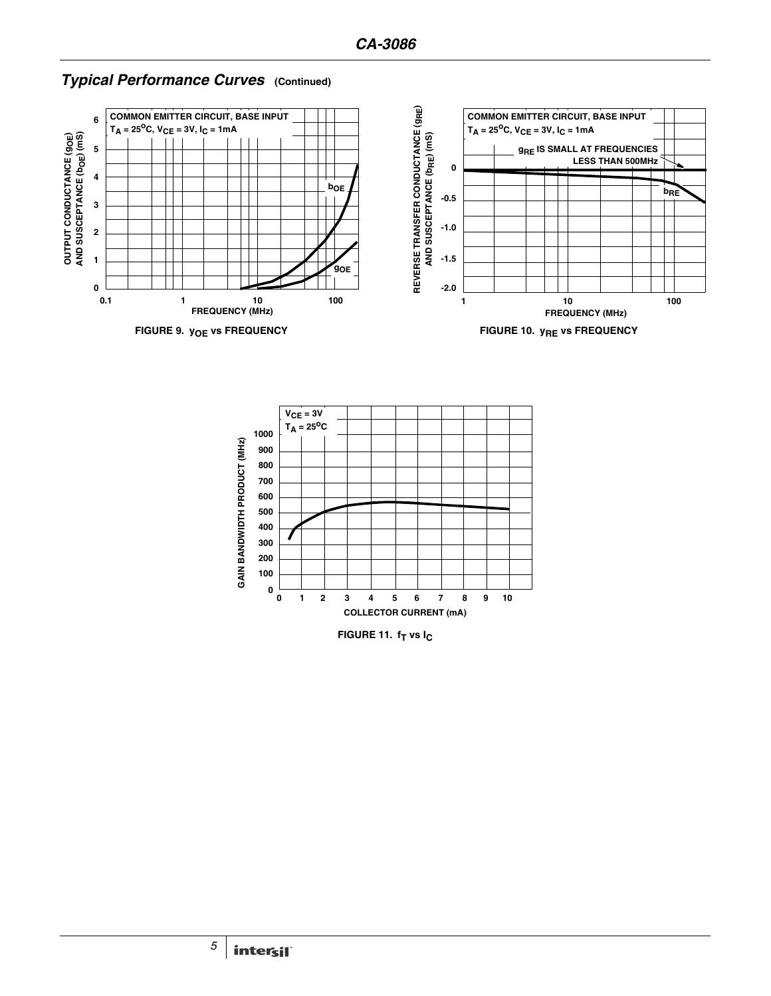

# *Typical Performance Curves* **(Continued)**



**FIGURE 11. f<sub>T</sub> vs I<sub>C</sub>**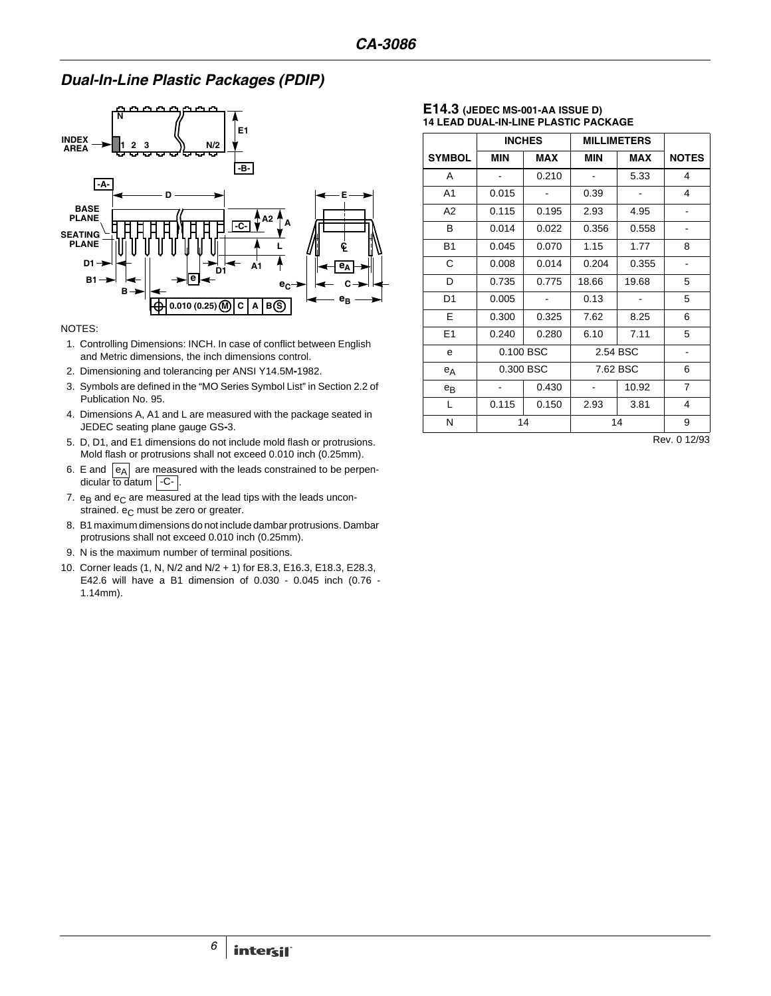# *Dual-In-Line Plastic Packages (PDIP)*



#### NOTES:

- 1. Controlling Dimensions: INCH. In case of conflict between English and Metric dimensions, the inch dimensions control.
- 2. Dimensioning and tolerancing per ANSI Y14.5M**-**1982.
- 3. Symbols are defined in the "MO Series Symbol List" in Section 2.2 of Publication No. 95.
- 4. Dimensions A, A1 and L are measured with the package seated in JEDEC seating plane gauge GS**-**3.
- 5. D, D1, and E1 dimensions do not include mold flash or protrusions. Mold flash or protrusions shall not exceed 0.010 inch (0.25mm).
- 6. E and  $|e_A|$  are measured with the leads constrained to be perpendicular to datum  $\vert$  -C- $\vert$ .
- 7.  $e_B$  and  $e_C$  are measured at the lead tips with the leads unconstrained.  $e_C$  must be zero or greater.
- 8. B1 maximum dimensions do not include dambar protrusions. Dambar protrusions shall not exceed 0.010 inch (0.25mm).
- 9. N is the maximum number of terminal positions.
- 10. Corner leads (1, N, N/2 and N/2 + 1) for E8.3, E16.3, E18.3, E28.3, E42.6 will have a B1 dimension of 0.030 - 0.045 inch (0.76 - 1.14mm).

#### **E14.3 (JEDEC MS-001-AA ISSUE D) 14 LEAD DUAL-IN-LINE PLASTIC PACKAGE**

|                | <b>INCHES</b> |            | <b>MILLIMETERS</b> |            |                              |
|----------------|---------------|------------|--------------------|------------|------------------------------|
| <b>SYMBOL</b>  | <b>MIN</b>    | <b>MAX</b> | <b>MIN</b>         | <b>MAX</b> | <b>NOTES</b>                 |
| A              |               | 0.210      |                    | 5.33       | 4                            |
| A <sub>1</sub> | 0.015         |            | 0.39               |            | 4                            |
| A <sub>2</sub> | 0.115         | 0.195      | 2.93               | 4.95       | ٠                            |
| B              | 0.014         | 0.022      | 0.356              | 0.558      | ٠                            |
| <b>B1</b>      | 0.045         | 0.070      | 1.15               | 1.77       | 8                            |
| С              | 0.008         | 0.014      | 0.204              | 0.355      |                              |
| D              | 0.735         | 0.775      | 18.66              | 19.68      | 5                            |
| D <sub>1</sub> | 0.005         |            | 0.13               |            | 5                            |
| Е              | 0.300         | 0.325      | 7.62               | 8.25       | 6                            |
| E1             | 0.240         | 0.280      | 6.10               | 7.11       | 5                            |
| e              |               | 0.100 BSC  | 2.54 BSC           |            | $\qquad \qquad \blacksquare$ |
| $e_A$          |               | 0.300 BSC  |                    | 7.62 BSC   |                              |
| $e_{B}$        |               | 0.430      |                    | 10.92      | $\overline{7}$               |
| L              | 0.115         | 0.150      | 2.93               | 3.81       | $\overline{\mathbf{4}}$      |
| N              | 14            |            | 14                 |            | 9                            |

Rev. 0 12/93